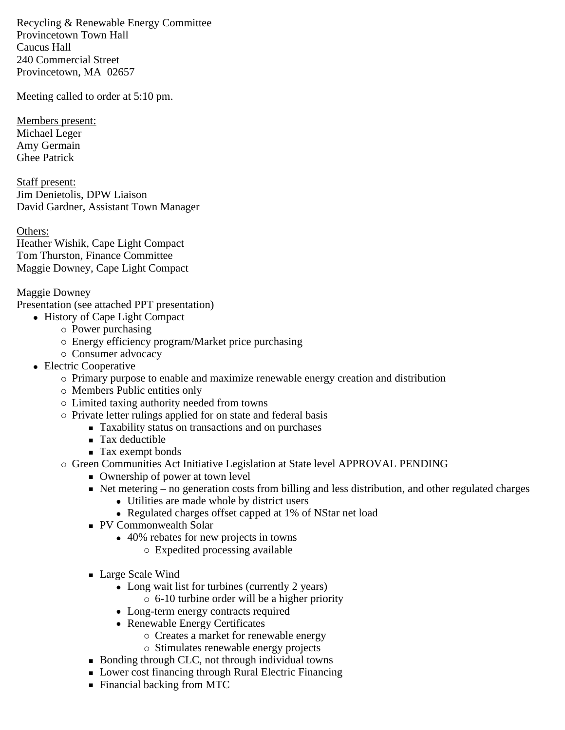Recycling & Renewable Energy Committee Provincetown Town Hall Caucus Hall 240 Commercial Street Provincetown, MA 02657

Meeting called to order at 5:10 pm.

Members present: Michael Leger Amy Germain Ghee Patrick

Staff present: Jim Denietolis, DPW Liaison David Gardner, Assistant Town Manager

Others: Heather Wishik, Cape Light Compact Tom Thurston, Finance Committee Maggie Downey, Cape Light Compact

Maggie Downey

Presentation (see attached PPT presentation)

- History of Cape Light Compact
	- { Power purchasing
	- $\circ$  Energy efficiency program/Market price purchasing
	- $\circ$  Consumer advocacy
- Electric Cooperative
	- { Primary purpose to enable and maximize renewable energy creation and distribution
	- { Members Public entities only
	- $\circ$  Limited taxing authority needed from towns
	- $\circ$  Private letter rulings applied for on state and federal basis
		- **Taxability status on transactions and on purchases**
		- **Tax deductible**
		- Tax exempt bonds
	- { Green Communities Act Initiative Legislation at State level APPROVAL PENDING
		- Ownership of power at town level
		- Net metering no generation costs from billing and less distribution, and other regulated charges
			- Utilities are made whole by district users
			- Regulated charges offset capped at 1% of NStar net load
		- PV Commonwealth Solar
			- 40% rebates for new projects in towns
				- $\circ$  Expedited processing available
		- Large Scale Wind
			- Long wait list for turbines (currently 2 years)
				- $\circ$  6-10 turbine order will be a higher priority
			- Long-term energy contracts required
			- Renewable Energy Certificates
				- $\circ$  Creates a market for renewable energy
					- $\circ$  Stimulates renewable energy projects
		- Bonding through CLC, not through individual towns
		- **Lower cost financing through Rural Electric Financing**
		- **Financial backing from MTC**